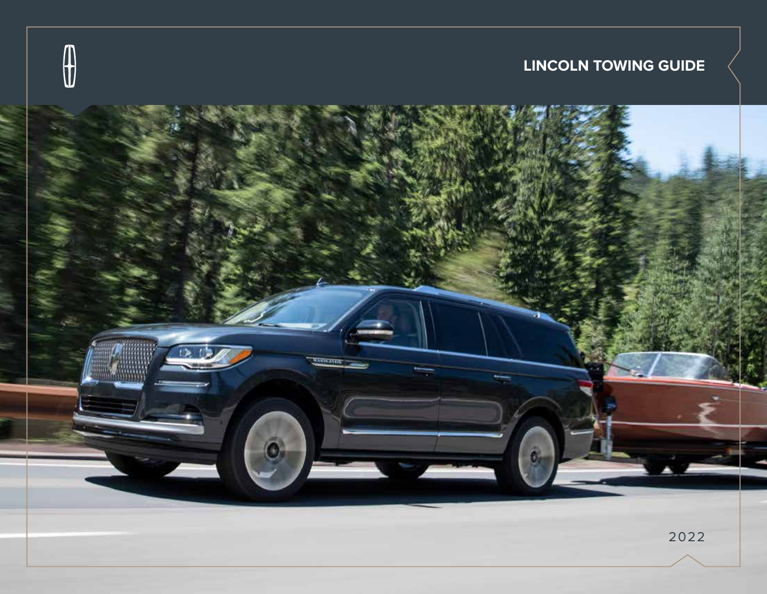

**LINCOLN TOWING GUIDE**

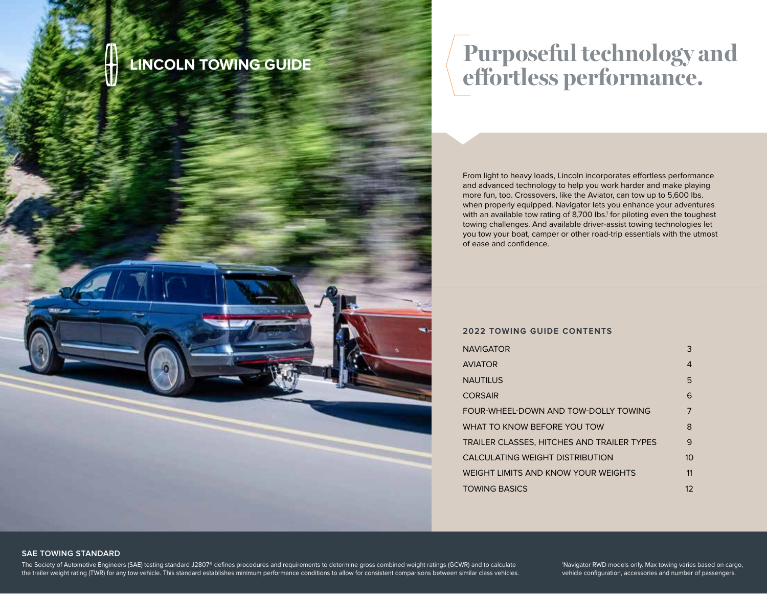# **Purposeful technology and effortless performance. LINCOLN TOWING GUIDE**

From light to heavy loads, Lincoln incorporates effortless performance and advanced technology to help you work harder and make playing more fun, too. Crossovers, like the Aviator, can tow up to 5,600 lbs. when properly equipped. Navigator lets you enhance your adventures with an available tow rating of 8,700 lbs.<sup>1</sup> for piloting even the toughest towing challenges. And available driver-assist towing technologies let you tow your boat, camper or other road-trip essentials with the utmost of ease and confidence.

## **2022 TOWING GUIDE CONTENTS**

| <b>NAVIGATOR</b>                           | 3              |
|--------------------------------------------|----------------|
| <b>AVIATOR</b>                             | 4              |
| <b>NAUTILUS</b>                            | 5              |
| <b>CORSAIR</b>                             | 6              |
| FOUR-WHEEL-DOWN AND TOW-DOLLY TOWING       | $\overline{7}$ |
| WHAT TO KNOW BEFORE YOU TOW                | 8              |
| TRAILER CLASSES. HITCHES AND TRAILER TYPES | 9              |
| CALCULATING WEIGHT DISTRIBUTION            | 1 <sub>O</sub> |
| WEIGHT LIMITS AND KNOW YOUR WEIGHTS        | 11             |
| <b>TOWING BASICS</b>                       | 12             |

## **SAE TOWING STANDARD**

The Society of Automotive Engineers (SAE) testing standard J2807® defines procedures and requirements to determine gross combined weight ratings (GCWR) and to calculate the trailer weight rating (TWR) for any tow vehicle. This standard establishes minimum performance conditions to allow for consistent comparisons between similar class vehicles.

1 Navigator RWD models only. Max towing varies based on cargo, vehicle configuration, accessories and number of passengers.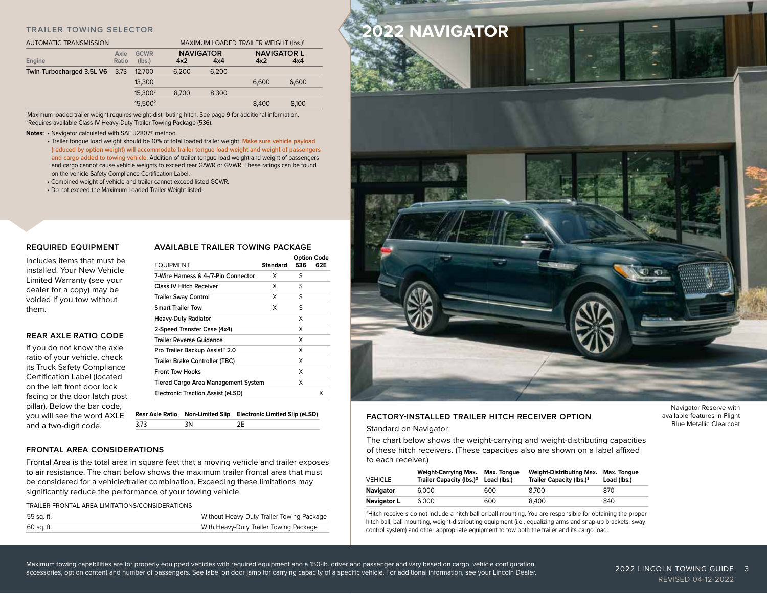| <b>AUTOMATIC TRANSMISSION</b>  |               |                       | MAXIMUM LOADED TRAILER WEIGHT (Ibs.) <sup>1</sup> |                         |                           |       |
|--------------------------------|---------------|-----------------------|---------------------------------------------------|-------------------------|---------------------------|-------|
| Engine                         | Axle<br>Ratio | <b>GCWR</b><br>(lbs.) | 4x2                                               | <b>NAVIGATOR</b><br>4x4 | <b>NAVIGATOR L</b><br>4x2 | 4x4   |
| Twin-Turbocharged 3.5L V6 3.73 |               | 12.700                | 6.200                                             | 6.200                   |                           |       |
|                                |               | 13,300                |                                                   |                         | 6.600                     | 6.600 |
|                                |               | 15,300 <sup>2</sup>   | 8.700                                             | 8.300                   |                           |       |
|                                |               | 15.500 <sup>2</sup>   |                                                   |                         | 8.400                     | 8.100 |

1 Maximum loaded trailer weight requires weight-distributing hitch. See page 9 for additional information. 2Requires available Class IV Heavy-Duty Trailer Towing Package (536).

#### **Notes:** • Navigator calculated with SAE J2807® method.

- Trailer tongue load weight should be 10% of total loaded trailer weight. **Make sure vehicle payload (reduced by option weight) will accommodate trailer tongue load weight and weight of passengers and cargo added to towing vehicle.** Addition of trailer tongue load weight and weight of passengers and cargo cannot cause vehicle weights to exceed rear GAWR or GVWR. These ratings can be found on the vehicle Safety Compliance Certification Label.
- Combined weight of vehicle and trailer cannot exceed listed GCWR.
- Do not exceed the Maximum Loaded Trailer Weight listed.

## **REQUIRED EQUIPMENT**

Includes items that must be installed. Your New Vehicle Limited Warranty (see your dealer for a copy) may be voided if you tow without them.

## **REAR AXLE RATIO CODE**

If you do not know the axle ratio of your vehicle, check its Truck Safety Compliance Certification Label (located on the left front door lock facing or the door latch post pillar). Below the bar code, you will see the word AXLE and a two-digit code.

| AVAILABLE TRAILER TOWING PACKAGE |  |                    |  |
|----------------------------------|--|--------------------|--|
|                                  |  | <b>Option Code</b> |  |

| <b>EQUIPMENT</b>                           | <b>Standard</b> | 536 | 62E |
|--------------------------------------------|-----------------|-----|-----|
| 7-Wire Harness & 4-/7-Pin Connector        | x               | S   |     |
| Class IV Hitch Receiver                    | X               | S   |     |
| <b>Trailer Sway Control</b>                | X               | S   |     |
| <b>Smart Trailer Tow</b>                   | X               | S   |     |
| <b>Heavy-Duty Radiator</b>                 |                 | X   |     |
| 2-Speed Transfer Case (4x4)                |                 | X   |     |
| <b>Trailer Reverse Guidance</b>            |                 | X   |     |
| Pro Trailer Backup Assist <sup>™</sup> 2.0 |                 | X   |     |
| Trailer Brake Controller (TBC)             |                 | X   |     |
| <b>Front Tow Hooks</b>                     |                 | X   |     |
| <b>Tiered Cargo Area Management System</b> |                 | X   |     |
| <b>Electronic Traction Assist (eLSD)</b>   |                 |     | X   |

**Rear Axle Ratio Non-Limited Slip Electronic Limited Slip (eLSD)** 3.73 3N 2E

## **FRONTAL AREA CONSIDERATIONS**

Frontal Area is the total area in square feet that a moving vehicle and trailer exposes to air resistance. The chart below shows the maximum trailer frontal area that must be considered for a vehicle/trailer combination. Exceeding these limitations may significantly reduce the performance of your towing vehicle.

TRAILER FRONTAL AREA LIMITATIONS/CONSIDERATIONS

| 55 sq. ft. | Without Heavy-Duty Trailer Towing Package |
|------------|-------------------------------------------|
| 60 sq. ft. | With Heavy-Duty Trailer Towing Package    |



## **FACTORY-INSTALLED TRAILER HITCH RECEIVER OPTION**

Standard on Navigator.

The chart below shows the weight-carrying and weight-distributing capacities of these hitch receivers. (These capacities also are shown on a label affixed to each receiver.)

| <b>VEHICLE</b>     | <b>Weight-Carrying Max.</b><br>Trailer Capacity (lbs.) <sup>3</sup> Load (lbs.) | Max. Tongue | Weight-Distributing Max.<br>Trailer Capacity (lbs.) <sup>3</sup> | Max. Tongue<br>Load (lbs.) |
|--------------------|---------------------------------------------------------------------------------|-------------|------------------------------------------------------------------|----------------------------|
| Navigator          | 6.000                                                                           | 600         | 8.700                                                            | 870                        |
| <b>Navigator L</b> | 6.000                                                                           | 600         | 8.400                                                            | 840                        |

<sup>3</sup>Hitch receivers do not include a hitch ball or ball mounting. You are responsible for obtaining the proper hitch ball, ball mounting, weight-distributing equipment (i.e., equalizing arms and snap-up brackets, sway control system) and other appropriate equipment to tow both the trailer and its cargo load.

Navigator Reserve with available features in Flight Blue Metallic Clearcoat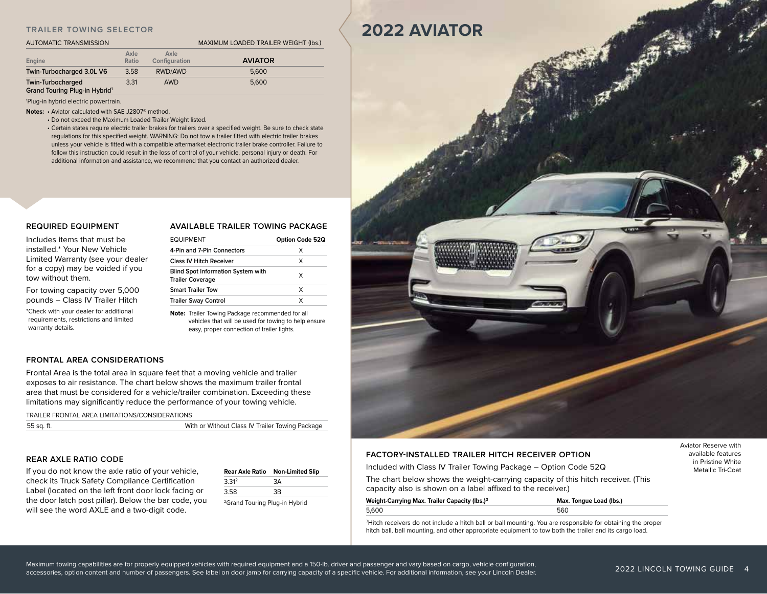## **TRAILER TOWING SELECTOR**

#### AUTOMATIC TRANSMISSION

| AAXIMUM I OADED TRAII ER WEIGHT (Ibs |  |  |
|--------------------------------------|--|--|

| Engine                                                                | Axle<br>Ratio | Axle<br>Configuration | <b>AVIATOR</b> |
|-----------------------------------------------------------------------|---------------|-----------------------|----------------|
| Twin-Turbocharged 3.0L V6                                             | 3.58          | RWD/AWD               | 5,600          |
| <b>Twin-Turbocharged</b><br>Grand Touring Plug-in Hybrid <sup>1</sup> | 3.31          | <b>AWD</b>            | 5,600          |

1 Plug-in hybrid electric powertrain.

**Notes: •** Aviator calculated with SAE J2807® method.

• Do not exceed the Maximum Loaded Trailer Weight listed.

 • Certain states require electric trailer brakes for trailers over a specified weight. Be sure to check state regulations for this specified weight. WARNING: Do not tow a trailer fitted with electric trailer brakes unless your vehicle is fitted with a compatible aftermarket electronic trailer brake controller. Failure to follow this instruction could result in the loss of control of your vehicle, personal injury or death. For additional information and assistance, we recommend that you contact an authorized dealer.

## **REQUIRED EQUIPMENT**

## **AVAILABLE TRAILER TOWING PACKAGE**

**Option Code 52Q** 

| Includes items that must be                           | <b>EQUIPMENT</b>                                                     | <b>Option Co</b> |
|-------------------------------------------------------|----------------------------------------------------------------------|------------------|
| installed.* Your New Vehicle                          | 4-Pin and 7-Pin Connectors                                           | X                |
| Limited Warranty (see your dealer                     | <b>Class IV Hitch Receiver</b>                                       | X                |
| for a copy) may be voided if you<br>tow without them. | <b>Blind Spot Information System with</b><br><b>Trailer Coverage</b> | X                |
| For towing capacity over 5,000                        | <b>Smart Trailer Tow</b>                                             | X                |
| pounds - Class IV Trailer Hitch                       | <b>Trailer Sway Control</b>                                          | X                |

\*Check with your dealer for additional requirements, restrictions and limited warranty details.

**Note:** Trailer Towing Package recommended for all vehicles that will be used for towing to help ensure easy, proper connection of trailer lights.

## **FRONTAL AREA CONSIDERATIONS**

Frontal Area is the total area in square feet that a moving vehicle and trailer exposes to air resistance. The chart below shows the maximum trailer frontal area that must be considered for a vehicle/trailer combination. Exceeding these limitations may significantly reduce the performance of your towing vehicle.

TRAILER FRONTAL AREA LIMITATIONS/CONSIDERATIONS

## **REAR AXLE RATIO CODE**

If you do not know the axle ratio of your vehicle, check its Truck Safety Compliance Certification Label (located on the left front door lock facing or the door latch post pillar). Below the bar code, you will see the word AXLE and a two-digit code.

|                   | Rear Axle Ratio Non-Limited Slip |
|-------------------|----------------------------------|
| 3.31 <sup>2</sup> | 3Α                               |
| 3.58              | RЗ                               |
|                   |                                  |

2Grand Touring Plug-in Hybrid



## **FACTORY-INSTALLED TRAILER HITCH RECEIVER OPTION**

Included with Class IV Trailer Towing Package – Option Code 52Q

The chart below shows the weight-carrying capacity of this hitch receiver. (This capacity also is shown on a label affixed to the receiver.)

| Weight-Carrying Max. Trailer Capacity (lbs.) <sup>3</sup> | Max. Tongue Load (lbs.) |
|-----------------------------------------------------------|-------------------------|
| 5.600                                                     | 560                     |

3 Hitch receivers do not include a hitch ball or ball mounting. You are responsible for obtaining the proper hitch ball, ball mounting, and other appropriate equipment to tow both the trailer and its cargo load.

Maximum towing capabilities are for properly equipped vehicles with required equipment and a 150-lb. driver and passenger and vary based on cargo, vehicle configuration, accessories, option content and number of passengers. See label on door jamb for carrying capacity of a specific vehicle. For additional information, see your Lincoln Dealer. Aviator Reserve with available features in Pristine White Metallic Tri-Coat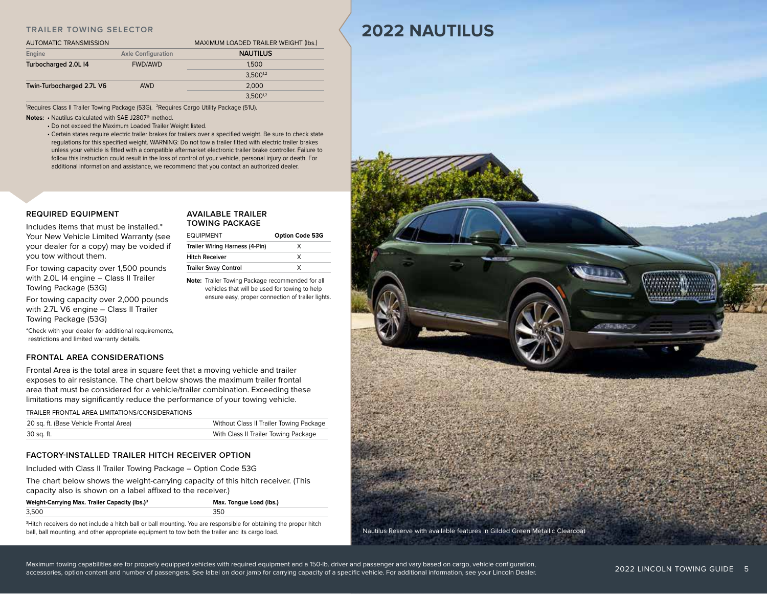## **TRAILER TOWING SELECTOR**

| <b>AUTOMATIC TRANSMISSION</b> |                           | MAXIMUM LOADED TRAILER WEIGHT (Ibs.) |  |
|-------------------------------|---------------------------|--------------------------------------|--|
| Engine                        | <b>Axle Configuration</b> | <b>NAUTILUS</b>                      |  |
| Turbocharged 2.0L I4          | <b>FWD/AWD</b>            | 1.500                                |  |
|                               |                           | $3.500^{1,2}$                        |  |
| Twin-Turbocharged 2.7L V6     | AWD                       | 2.000                                |  |
|                               |                           | $3,500^{1,2}$                        |  |

1 Requires Class II Trailer Towing Package (53G). 2Requires Cargo Utility Package (51U).

**Notes: •** Nautilus Calculated with SAE J2807® method.

• Do not exceed the Maximum Loaded Trailer Weight listed.

 • Certain states require electric trailer brakes for trailers over a specified weight. Be sure to check state regulations for this specified weight. WARNING: Do not tow a trailer fitted with electric trailer brakes unless your vehicle is fitted with a compatible aftermarket electronic trailer brake controller. Failure to follow this instruction could result in the loss of control of your vehicle, personal injury or death. For additional information and assistance, we recommend that you contact an authorized dealer.

## **REQUIRED EQUIPMENT**

## **AVAILABLE TRAILER TOWING PACKAGE**

EQUIPMENT **Option Code 53G Trailer Wiring Harness (4-Pin)** X **Hitch Receiver** X **Trailer Sway Control** X **Note:** Trailer Towing Package recommended for all vehicles that will be used for towing to help ensure easy, proper connection of trailer lights.

Includes items that must be installed.\* Your New Vehicle Limited Warranty (see your dealer for a copy) may be voided if you tow without them.

For towing capacity over 1,500 pounds with 2.0L I4 engine – Class II Trailer Towing Package (53G)

For towing capacity over 2,000 pounds with 2.7L V6 engine – Class II Trailer Towing Package (53G)

\*Check with your dealer for additional requirements, restrictions and limited warranty details.

## **FRONTAL AREA CONSIDERATIONS**

Frontal Area is the total area in square feet that a moving vehicle and trailer exposes to air resistance. The chart below shows the maximum trailer frontal area that must be considered for a vehicle/trailer combination. Exceeding these limitations may significantly reduce the performance of your towing vehicle.

TRAILER FRONTAL AREA LIMITATIONS/CONSIDERATIONS

| 20 sq. ft. (Base Vehicle Frontal Area) | Without Class II Trailer Towing Package |
|----------------------------------------|-----------------------------------------|
| 30 sq. ft.                             | With Class II Trailer Towing Package    |

## **FACTORY-INSTALLED TRAILER HITCH RECEIVER OPTION**

Included with Class II Trailer Towing Package – Option Code 53G

The chart below shows the weight-carrying capacity of this hitch receiver. (This capacity also is shown on a label affixed to the receiver.)

| Weight-Carrying Max. Trailer Capacity (lbs.) <sup>3</sup> | Max. Tongue Load (lbs.) |
|-----------------------------------------------------------|-------------------------|
| 3.500                                                     | 350                     |

3 Hitch receivers do not include a hitch ball or ball mounting. You are responsible for obtaining the proper hitch ball, ball mounting, and other appropriate equipment to tow both the trailer and its cargo load.

## **2022 NAUTILUS**



Maximum towing capabilities are for properly equipped vehicles with required equipment and a 150-lb. driver and passenger and vary based on cargo, vehicle configuration, accessories, option content and number of passengers. See label on door jamb for carrying capacity of a specific vehicle. For additional information, see your Lincoln Dealer.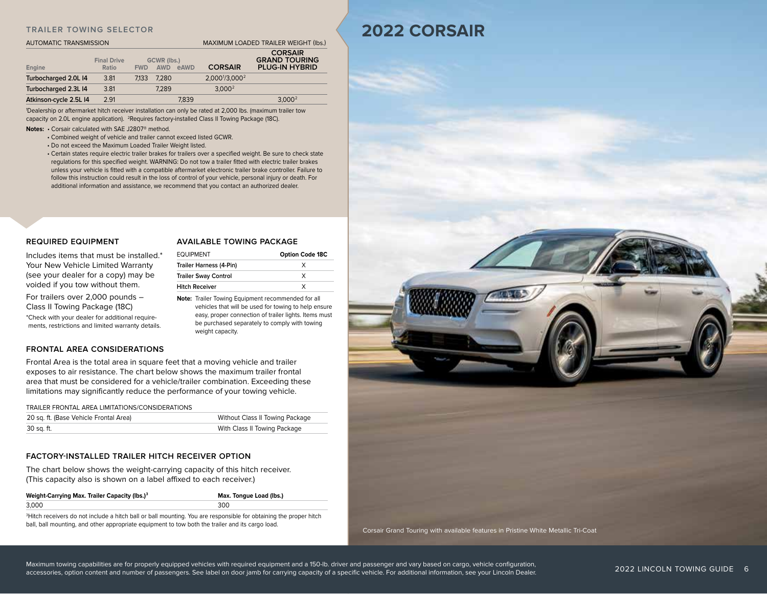## **TRAILER TOWING SELECTOR**

## AUTOMATIC TRANSMISSION MAXIMUM LOADED TRAILER WEIGHT (lbs.)

| Engine                 | <b>Final Drive</b><br>Ratio | <b>FWD</b> | GCWR (lbs.)<br><b>AWD</b> | eAWD  | <b>CORSAIR</b>                         | <b>CORSAIR</b><br><b>GRAND TOURING</b><br><b>PLUG-IN HYBRID</b> |
|------------------------|-----------------------------|------------|---------------------------|-------|----------------------------------------|-----------------------------------------------------------------|
| Turbocharged 2.0L I4   | 3.81                        | 7.133      | 7.280                     |       | 2.000 <sup>1</sup> /3.000 <sup>2</sup> |                                                                 |
| Turbocharged 2.3L I4   | 3.81                        |            | 7.289                     |       | 3.000 <sup>2</sup>                     |                                                                 |
| Atkinson-cycle 2.5L I4 | 2.91                        |            |                           | 7.839 |                                        | 3.000 <sup>2</sup>                                              |

1 Dealership or aftermarket hitch receiver installation can only be rated at 2,000 lbs. (maximum trailer tow capacity on 2.0L engine application). <sup>2</sup>Requires factory-installed Class II Towing Package (18C).

**Notes:** • Corsair calculated with SAE J2807® method.

- Combined weight of vehicle and trailer cannot exceed listed GCWR.
- Do not exceed the Maximum Loaded Trailer Weight listed.
- Certain states require electric trailer brakes for trailers over a specified weight. Be sure to check state regulations for this specified weight. WARNING: Do not tow a trailer fitted with electric trailer brakes unless your vehicle is fitted with a compatible aftermarket electronic trailer brake controller. Failure to follow this instruction could result in the loss of control of your vehicle, personal injury or death. For additional information and assistance, we recommend that you contact an authorized dealer.

## **REQUIRED EQUIPMENT**

Includes items that must be installed.\* Your New Vehicle Limited Warranty (see your dealer for a copy) may be voided if you tow without them.

For trailers over 2,000 pounds – Class II Towing Package (18C)

\*Check with your dealer for additional requirements, restrictions and limited warranty details.

## **AVAILABLE TOWING PACKAGE**

| <b>EQUIPMENT</b>            | <b>Option Code 18C</b> |  |  |
|-----------------------------|------------------------|--|--|
| Trailer Harness (4-Pin)     |                        |  |  |
| <b>Trailer Sway Control</b> | x                      |  |  |
| <b>Hitch Receiver</b>       |                        |  |  |

**Note:** Trailer Towing Equipment recommended for all vehicles that will be used for towing to help ensure easy, proper connection of trailer lights. Items must be purchased separately to comply with towing weight capacity.

## **FRONTAL AREA CONSIDERATIONS**

Frontal Area is the total area in square feet that a moving vehicle and trailer exposes to air resistance. The chart below shows the maximum trailer frontal area that must be considered for a vehicle/trailer combination. Exceeding these limitations may significantly reduce the performance of your towing vehicle.

TRAILER FRONTAL AREA LIMITATIONS/CONSIDERATIONS

| 20 sq. ft. (Base Vehicle Frontal Area) | Without Class II Towing Package |
|----------------------------------------|---------------------------------|
| 30 sq. ft.                             | With Class II Towing Package    |

## **FACTORY-INSTALLED TRAILER HITCH RECEIVER OPTION**

The chart below shows the weight-carrying capacity of this hitch receiver. (This capacity also is shown on a label affixed to each receiver.)

| Weight-Carrying Max. Trailer Capacity (lbs.) <sup>3</sup>                                                                           | Max. Tonque Load (lbs.) |
|-------------------------------------------------------------------------------------------------------------------------------------|-------------------------|
| 3.000                                                                                                                               | 300                     |
| . Primarily and a straightful and the state of the first state of the AZ and a straightful product of the state of the state of the |                         |

3 Hitch receivers do not include a hitch ball or ball mounting. You are responsible for obtaining the proper hitch ball, ball mounting, and other appropriate equipment to tow both the trailer and its cargo load.

**2022 CORSAIR**



Maximum towing capabilities are for properly equipped vehicles with required equipment and a 150-lb. driver and passenger and vary based on cargo, vehicle configuration, accessories, option content and number of passengers. See label on door jamb for carrying capacity of a specific vehicle. For additional information, see your Lincoln Dealer.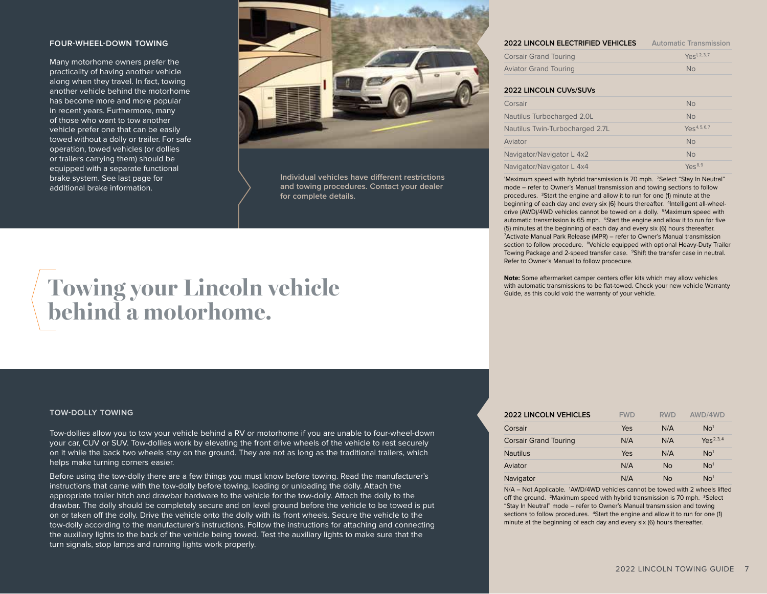## **FOUR-WHEEL-DOWN TOWING**

Many motorhome owners prefer the practicality of having another vehicle along when they travel. In fact, towing another vehicle behind the motorhome has become more and more popular in recent years. Furthermore, many of those who want to tow another vehicle prefer one that can be easily towed without a dolly or trailer. For safe operation, towed vehicles (or dollies or trailers carrying them) should be equipped with a separate functional brake system. See last page for additional brake information.



**Individual vehicles have different restrictions and towing procedures. Contact your dealer for complete details.**

# **Towing your Lincoln vehicle behind a motorhome.**

## **TOW-DOLLY TOWING**

Tow-dollies allow you to tow your vehicle behind a RV or motorhome if you are unable to four-wheel-down your car, CUV or SUV. Tow-dollies work by elevating the front drive wheels of the vehicle to rest securely on it while the back two wheels stay on the ground. They are not as long as the traditional trailers, which helps make turning corners easier.

Before using the tow-dolly there are a few things you must know before towing. Read the manufacturer's instructions that came with the tow-dolly before towing, loading or unloading the dolly. Attach the appropriate trailer hitch and drawbar hardware to the vehicle for the tow-dolly. Attach the dolly to the drawbar. The dolly should be completely secure and on level ground before the vehicle to be towed is put on or taken off the dolly. Drive the vehicle onto the dolly with its front wheels. Secure the vehicle to the tow-dolly according to the manufacturer's instructions. Follow the instructions for attaching and connecting the auxiliary lights to the back of the vehicle being towed. Test the auxiliary lights to make sure that the turn signals, stop lamps and running lights work properly.

| 2022 LINCOLN ELECTRIFIED VEHICLES | <b>Automatic Transmission</b> |
|-----------------------------------|-------------------------------|
| <b>Corsair Grand Touring</b>      | $Y\rho s^{1,2,3,7}$           |
| <b>Aviator Grand Touring</b>      | No.                           |

## **2022 LINCOLN CUVs/SUVs**

| Corsair                         | <b>No</b>                 |
|---------------------------------|---------------------------|
| Nautilus Turbocharged 2.0L      | <b>No</b>                 |
| Nautilus Twin-Turbocharged 2.7L | $Y_{\text{pS}}^{4,5,6,7}$ |
| <b>Aviator</b>                  | <b>No</b>                 |
| Navigator/Navigator L 4x2       | <b>No</b>                 |
| Navigator/Navigator L 4x4       | $Yes^{8,9}$               |

'Maximum speed with hybrid transmission is 70 mph. <sup>2</sup>Select "Stay In Neutral" mode – refer to Owner's Manual transmission and towing sections to follow procedures. <sup>3</sup>Start the engine and allow it to run for one (1) minute at the beginning of each day and every six (6) hours thereafter. <sup>4</sup>Intelligent all-wheeldrive (AWD)/4WD vehicles cannot be towed on a dolly. <sup>5</sup>Maximum speed with automatic transmission is 65 mph. <sup>6</sup>Start the engine and allow it to run for five (5) minutes at the beginning of each day and every six (6) hours thereafter. 7 Activate Manual Park Release (MPR) – refer to Owner's Manual transmission section to follow procedure. <sup>8</sup>Vehicle equipped with optional Heavy-Duty Trailer Towing Package and 2-speed transfer case. <sup>9</sup>Shift the transfer case in neutral. Refer to Owner's Manual to follow procedure.

**Note:** Some aftermarket camper centers offer kits which may allow vehicles with automatic transmissions to be flat-towed. Check your new vehicle Warranty Guide, as this could void the warranty of your vehicle.

| <b>2022 LINCOLN VEHICLES</b> | <b>FWD</b> | <b>RWD</b> | AWD/4WD         |
|------------------------------|------------|------------|-----------------|
| Corsair                      | Yes        | N/A        | No <sup>1</sup> |
| <b>Corsair Grand Touring</b> | N/A        | N/A        | $Yes^{2,3,4}$   |
| <b>Nautilus</b>              | Yes        | N/A        | No <sup>1</sup> |
| Aviator                      | N/A        | <b>No</b>  | No <sup>1</sup> |
| Navigator                    | N/A        | <b>No</b>  | No <sup>1</sup> |

N/A - Not Applicable. 1AWD/4WD vehicles cannot be towed with 2 wheels lifted off the ground. <sup>2</sup>Maximum speed with hybrid transmission is 70 mph. <sup>3</sup>Select "Stay In Neutral" mode – refer to Owner's Manual transmission and towing sections to follow procedures. <sup>4</sup>Start the engine and allow it to run for one (1) minute at the beginning of each day and every six (6) hours thereafter.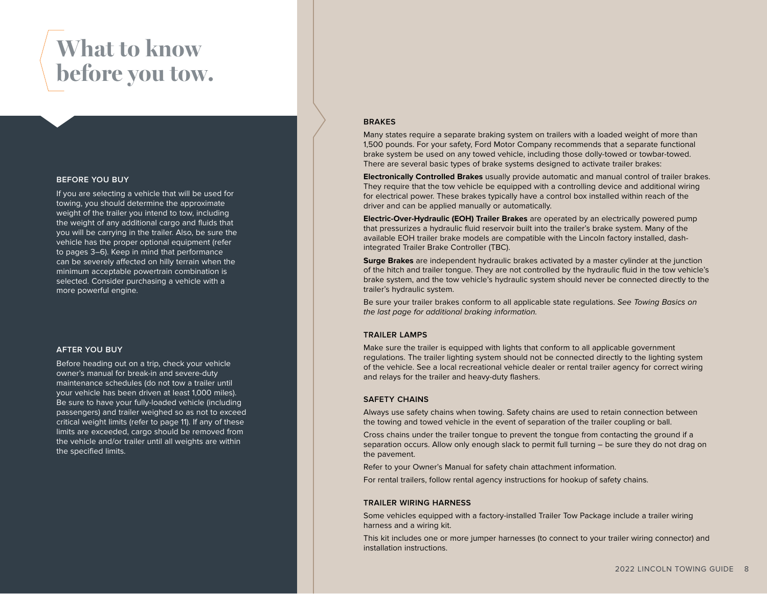# **What to know before you tow.**

## **BEFORE YOU BUY**

If you are selecting a vehicle that will be used for towing, you should determine the approximate weight of the trailer you intend to tow, including the weight of any additional cargo and fluids that you will be carrying in the trailer. Also, be sure the vehicle has the proper optional equipment (refer to pages 3–6). Keep in mind that performance can be severely affected on hilly terrain when the minimum acceptable powertrain combination is selected. Consider purchasing a vehicle with a more powerful engine.

## **AFTER YOU BUY**

Before heading out on a trip, check your vehicle owner's manual for break-in and severe-duty maintenance schedules (do not tow a trailer until your vehicle has been driven at least 1,000 miles). Be sure to have your fully-loaded vehicle (including passengers) and trailer weighed so as not to exceed critical weight limits (refer to page 11). If any of these limits are exceeded, cargo should be removed from the vehicle and/or trailer until all weights are within the specified limits.

## **BRAKES**

Many states require a separate braking system on trailers with a loaded weight of more than 1,500 pounds. For your safety, Ford Motor Company recommends that a separate functional brake system be used on any towed vehicle, including those dolly-towed or towbar-towed. There are several basic types of brake systems designed to activate trailer brakes:

**Electronically Controlled Brakes** usually provide automatic and manual control of trailer brakes. They require that the tow vehicle be equipped with a controlling device and additional wiring for electrical power. These brakes typically have a control box installed within reach of the driver and can be applied manually or automatically.

**Electric-Over-Hydraulic (EOH) Trailer Brakes** are operated by an electrically powered pump that pressurizes a hydraulic fluid reservoir built into the trailer's brake system. Many of the available EOH trailer brake models are compatible with the Lincoln factory installed, dashintegrated Trailer Brake Controller (TBC).

**Surge Brakes** are independent hydraulic brakes activated by a master cylinder at the junction of the hitch and trailer tongue. They are not controlled by the hydraulic fluid in the tow vehicle's brake system, and the tow vehicle's hydraulic system should never be connected directly to the trailer's hydraulic system.

Be sure your trailer brakes conform to all applicable state regulations. *See Towing Basics on the last page for additional braking information.*

## **TRAILER LAMPS**

Make sure the trailer is equipped with lights that conform to all applicable government regulations. The trailer lighting system should not be connected directly to the lighting system of the vehicle. See a local recreational vehicle dealer or rental trailer agency for correct wiring and relays for the trailer and heavy-duty flashers.

## **SAFETY CHAINS**

Always use safety chains when towing. Safety chains are used to retain connection between the towing and towed vehicle in the event of separation of the trailer coupling or ball.

Cross chains under the trailer tongue to prevent the tongue from contacting the ground if a separation occurs. Allow only enough slack to permit full turning – be sure they do not drag on the pavement.

Refer to your Owner's Manual for safety chain attachment information.

For rental trailers, follow rental agency instructions for hookup of safety chains.

## **TRAILER WIRING HARNESS**

Some vehicles equipped with a factory-installed Trailer Tow Package include a trailer wiring harness and a wiring kit.

This kit includes one or more jumper harnesses (to connect to your trailer wiring connector) and installation instructions.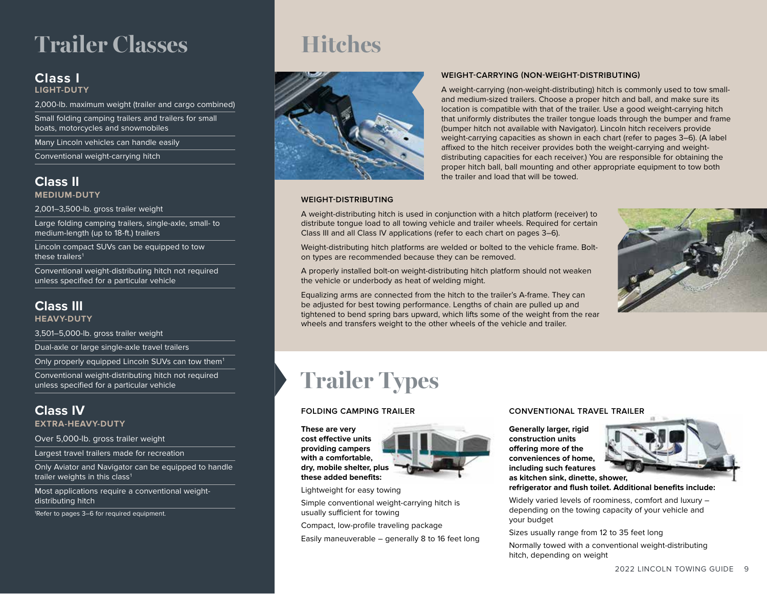# **Trailer Classes**

## **Class I**

**LIGHT-DUTY**

2,000-lb. maximum weight (trailer and cargo combined)

Small folding camping trailers and trailers for small boats, motorcycles and snowmobiles

Many Lincoln vehicles can handle easily

Conventional weight-carrying hitch

## **Class II**

**MEDIUM-DUTY**

2,001–3,500-lb. gross trailer weight

Large folding camping trailers, single-axle, small- to medium-length (up to 18-ft.) trailers

Lincoln compact SUVs can be equipped to tow these trailers<sup>1</sup>

Conventional weight-distributing hitch not required unless specified for a particular vehicle

## **Class III**

**HEAVY-DUTY**

3,501–5,000-lb. gross trailer weight

Dual-axle or large single-axle travel trailers

Only properly equipped Lincoln SUVs can tow them<sup>1</sup>

Conventional weight-distributing hitch not required unless specified for a particular vehicle

## **Class IV**

**EXTRA-HEAVY-DUTY**

Over 5,000-lb. gross trailer weight

Largest travel trailers made for recreation

Only Aviator and Navigator can be equipped to handle trailer weights in this class<sup>1</sup>

Most applications require a conventional weightdistributing hitch

1 Refer to pages 3–6 for required equipment.

## **Hitches**



## **WEIGHT-CARRYING (NON-WEIGHT-DISTRIBUTING)**

A weight-carrying (non-weight-distributing) hitch is commonly used to tow smalland medium-sized trailers. Choose a proper hitch and ball, and make sure its location is compatible with that of the trailer. Use a good weight-carrying hitch that uniformly distributes the trailer tongue loads through the bumper and frame (bumper hitch not available with Navigator). Lincoln hitch receivers provide weight-carrying capacities as shown in each chart (refer to pages 3–6). (A label affixed to the hitch receiver provides both the weight-carrying and weightdistributing capacities for each receiver.) You are responsible for obtaining the proper hitch ball, ball mounting and other appropriate equipment to tow both the trailer and load that will be towed.

## **WEIGHT-DISTRIBUTING**

A weight-distributing hitch is used in conjunction with a hitch platform (receiver) to distribute tongue load to all towing vehicle and trailer wheels. Required for certain Class III and all Class IV applications (refer to each chart on pages 3–6).

Weight-distributing hitch platforms are welded or bolted to the vehicle frame. Bolton types are recommended because they can be removed.

A properly installed bolt-on weight-distributing hitch platform should not weaken the vehicle or underbody as heat of welding might.

Equalizing arms are connected from the hitch to the trailer's A-frame. They can be adjusted for best towing performance. Lengths of chain are pulled up and tightened to bend spring bars upward, which lifts some of the weight from the rear wheels and transfers weight to the other wheels of the vehicle and trailer.



# **Trailer Types**

**These are very cost effective units providing campers with a comfortable, dry, mobile shelter, plus these added benefits:**



Lightweight for easy towing

Simple conventional weight-carrying hitch is usually sufficient for towing

Compact, low-profile traveling package Easily maneuverable – generally 8 to 16 feet long

## **FOLDING CAMPING TRAILER CONVENTIONAL TRAVEL TRAILER**

**Generally larger, rigid construction units offering more of the conveniences of home, including such features as kitchen sink, dinette, shower,** 



**refrigerator and flush toilet. Additional benefits include:**

Widely varied levels of roominess, comfort and luxury – depending on the towing capacity of your vehicle and your budget

Sizes usually range from 12 to 35 feet long

Normally towed with a conventional weight-distributing hitch, depending on weight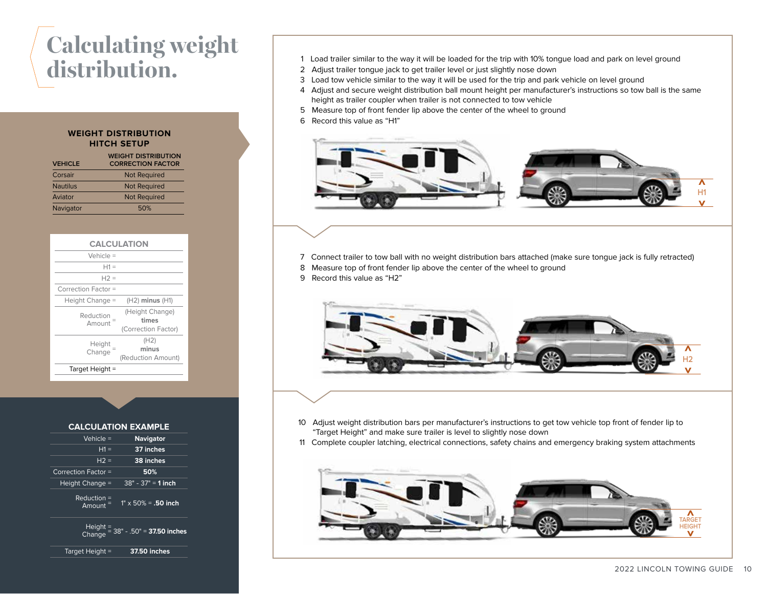# **Calculating weight**

## **WEIGHT DISTRIBUTION HITCH SETUP**

| <b>VEHICLE</b>  | <b>WEIGHT DISTRIBUTION</b><br><b>CORRECTION FACTOR</b> |
|-----------------|--------------------------------------------------------|
| Corsair         | <b>Not Required</b>                                    |
| <b>Nautilus</b> | <b>Not Required</b>                                    |
| Aviator         | <b>Not Required</b>                                    |
| Navigator       | 50%                                                    |

| <b>CALCULATION</b>  |                                                 |  |  |
|---------------------|-------------------------------------------------|--|--|
| Vehicle $=$         |                                                 |  |  |
| $H1 =$              |                                                 |  |  |
| $H2 =$              |                                                 |  |  |
| Correction Factor = |                                                 |  |  |
| Height Change $=$   | $(H2)$ minus $(H1)$                             |  |  |
| Reduction<br>Amount | (Height Change)<br>times<br>(Correction Factor) |  |  |
| Height<br>Change    | (H2)<br>minus<br>(Reduction Amount)             |  |  |
| Target Height =     |                                                 |  |  |
|                     |                                                 |  |  |

## **CALCULATION EXAMPLE**

| Vehicle =<br><b>Navigator</b>                              |                     |
|------------------------------------------------------------|---------------------|
| $H1 =$<br>37 inches                                        |                     |
| $H2 =$<br>38 inches                                        |                     |
| 50%                                                        | Correction Factor = |
| $38" - 37" = 1$ inch<br>Height Change =                    |                     |
| $Reduction =$<br>$1" \times 50\% = .50$ inch<br>$Amount =$ |                     |
| Height = $38" - .50" = 37.50$ inches                       |                     |
| <b>37.50 inches</b><br>Target Height =                     |                     |

- **distribution.** 1 Load trailer similar to the way it will be loaded for the trip with 10% tongue load and park on level ground
- 2 Adjust trailer tongue jack to get trailer level or just slightly nose down
- 3 Load tow vehicle similar to the way it will be used for the trip and park vehicle on level ground
- 4 Adjust and secure weight distribution ball mount height per manufacturer's instructions so tow ball is the same height as trailer coupler when trailer is not connected to tow vehicle
- 5 Measure top of front fender lip above the center of the wheel to ground
- 6 Record this value as "H1"



- 7 Connect trailer to tow ball with no weight distribution bars attached (make sure tongue jack is fully retracted)
- 8 Measure top of front fender lip above the center of the wheel to ground
- 9 Record this value as "H2"



- 10 Adjust weight distribution bars per manufacturer's instructions to get tow vehicle top front of fender lip to "Target Height" and make sure trailer is level to slightly nose down
- 11 Complete coupler latching, electrical connections, safety chains and emergency braking system attachments

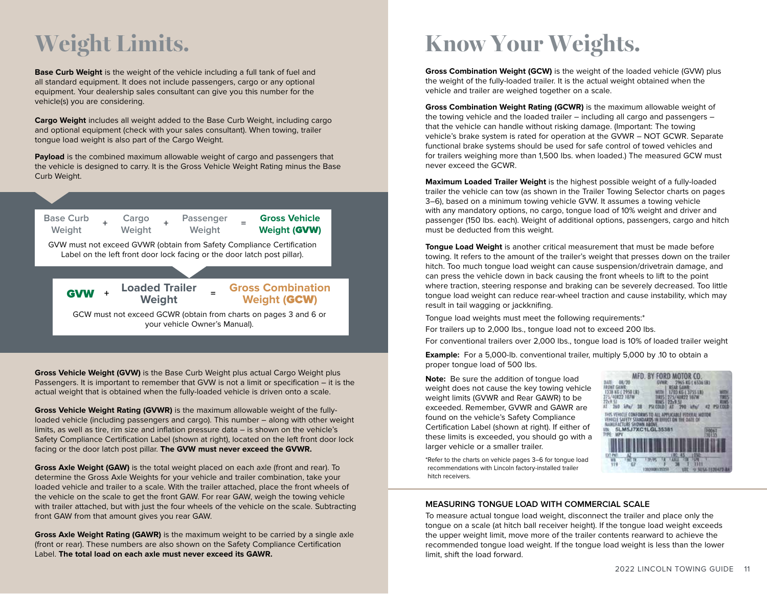# **Weight Limits.**

**Base Curb Weight** is the weight of the vehicle including a full tank of fuel and all standard equipment. It does not include passengers, cargo or any optional equipment. Your dealership sales consultant can give you this number for the vehicle(s) you are considering.

**Cargo Weight** includes all weight added to the Base Curb Weight, including cargo and optional equipment (check with your sales consultant). When towing, trailer tongue load weight is also part of the Cargo Weight.

**Payload** is the combined maximum allowable weight of cargo and passengers that the vehicle is designed to carry. It is the Gross Vehicle Weight Rating minus the Base Curb Weight.



GCW must not exceed GCWR (obtain from charts on pages 3 and 6 or your vehicle Owner's Manual).

**Gross Vehicle Weight (GVW)** is the Base Curb Weight plus actual Cargo Weight plus Passengers. It is important to remember that GVW is not a limit or specification – it is the actual weight that is obtained when the fully-loaded vehicle is driven onto a scale.

**Gross Vehicle Weight Rating (GVWR)** is the maximum allowable weight of the fullyloaded vehicle (including passengers and cargo). This number – along with other weight limits, as well as tire, rim size and inflation pressure data – is shown on the vehicle's Safety Compliance Certification Label (shown at right), located on the left front door lock facing or the door latch post pillar. **The GVW must never exceed the GVWR.**

**Gross Axle Weight (GAW)** is the total weight placed on each axle (front and rear). To determine the Gross Axle Weights for your vehicle and trailer combination, take your loaded vehicle and trailer to a scale. With the trailer attached, place the front wheels of the vehicle on the scale to get the front GAW. For rear GAW, weigh the towing vehicle with trailer attached, but with just the four wheels of the vehicle on the scale. Subtracting front GAW from that amount gives you rear GAW.

**Gross Axle Weight Rating (GAWR)** is the maximum weight to be carried by a single axle (front or rear). These numbers are also shown on the Safety Compliance Certification Label. **The total load on each axle must never exceed its GAWR.**

# **Know Your Weights.**

**Gross Combination Weight (GCW)** is the weight of the loaded vehicle (GVW) plus the weight of the fully-loaded trailer. It is the actual weight obtained when the vehicle and trailer are weighed together on a scale.

**Gross Combination Weight Rating (GCWR)** is the maximum allowable weight of the towing vehicle and the loaded trailer – including all cargo and passengers – that the vehicle can handle without risking damage. (Important: The towing vehicle's brake system is rated for operation at the GVWR – NOT GCWR. Separate functional brake systems should be used for safe control of towed vehicles and for trailers weighing more than 1,500 lbs. when loaded.) The measured GCW must never exceed the GCWR.

**Maximum Loaded Trailer Weight** is the highest possible weight of a fully-loaded trailer the vehicle can tow (as shown in the Trailer Towing Selector charts on pages 3–6), based on a minimum towing vehicle GVW. It assumes a towing vehicle with any mandatory options, no cargo, tongue load of 10% weight and driver and passenger (150 lbs. each). Weight of additional options, passengers, cargo and hitch must be deducted from this weight.

**Tongue Load Weight** is another critical measurement that must be made before towing. It refers to the amount of the trailer's weight that presses down on the trailer hitch. Too much tongue load weight can cause suspension/drivetrain damage, and can press the vehicle down in back causing the front wheels to lift to the point where traction, steering response and braking can be severely decreased. Too little tongue load weight can reduce rear-wheel traction and cause instability, which may result in tail wagging or jackknifing.

Tongue load weights must meet the following requirements:\*

For trailers up to 2,000 lbs., tongue load not to exceed 200 lbs. For conventional trailers over 2,000 lbs., tongue load is 10% of loaded trailer weight

**Example:** For a 5,000-lb. conventional trailer, multiply 5,000 by .10 to obtain a proper tongue load of 500 lbs.

**Note:** Be sure the addition of tongue load weight does not cause the key towing vehicle weight limits (GVWR and Rear GAWR) to be exceeded. Remember, GVWR and GAWR are found on the vehicle's Safety Compliance Certification Label (shown at right). If either of these limits is exceeded, you should go with a larger vehicle or a smaller trailer.



\*Refer to the charts on vehicle pages 3–6 for tongue load recommendations with Lincoln factory-installed trailer hitch receivers.

## **MEASURING TONGUE LOAD WITH COMMERCIAL SCALE**

To measure actual tongue load weight, disconnect the trailer and place only the tongue on a scale (at hitch ball receiver height). If the tongue load weight exceeds the upper weight limit, move more of the trailer contents rearward to achieve the recommended tongue load weight. If the tongue load weight is less than the lower limit, shift the load forward.